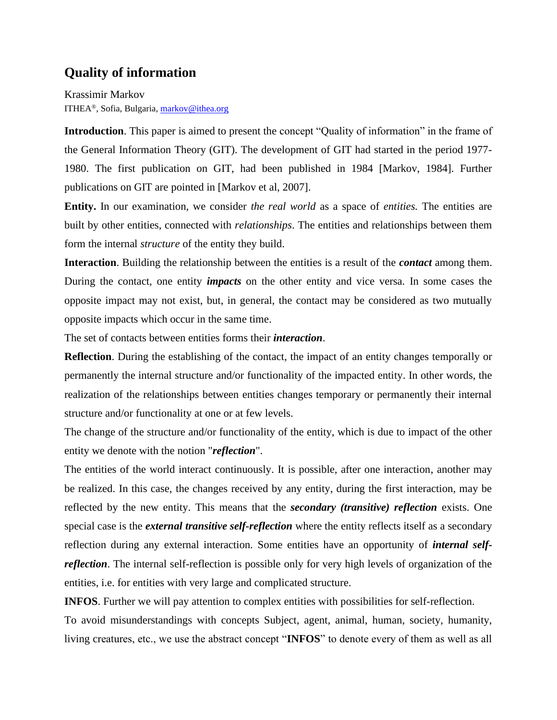## **Quality of information**

Krassimir Markov ITHEA®, Sofia, Bulgaria, [markov@ithea.org](mailto:markov@ithea.org)

**Introduction**. This paper is aimed to present the concept "Quality of information" in the frame of the General Information Theory (GIT). The development of GIT had started in the period 1977- 1980. The first publication on GIT, had been published in 1984 [Markov, 1984]. Further publications on GIT are pointed in [Markov et al, 2007].

**Entity.** In our examination, we consider *the real world* as a space of *entities.* The entities are built by other entities, connected with *relationships*. The entities and relationships between them form the internal *structure* of the entity they build.

**Interaction**. Building the relationship between the entities is a result of the *contact* among them. During the contact, one entity *impacts* on the other entity and vice versa. In some cases the opposite impact may not exist, but, in general, the contact may be considered as two mutually opposite impacts which occur in the same time.

The set of contacts between entities forms their *interaction*.

**Reflection**. During the establishing of the contact, the impact of an entity changes temporally or permanently the internal structure and/or functionality of the impacted entity. In other words, the realization of the relationships between entities changes temporary or permanently their internal structure and/or functionality at one or at few levels.

The change of the structure and/or functionality of the entity, which is due to impact of the other entity we denote with the notion "*reflection*".

The entities of the world interact continuously. It is possible, after one interaction, another may be realized. In this case, the changes received by any entity, during the first interaction, may be reflected by the new entity. This means that the *secondary (transitive) reflection* exists. One special case is the *external transitive self-reflection* where the entity reflects itself as a secondary reflection during any external interaction. Some entities have an opportunity of *internal selfreflection*. The internal self-reflection is possible only for very high levels of organization of the entities, i.e. for entities with very large and complicated structure.

**INFOS**. Further we will pay attention to complex entities with possibilities for self-reflection.

To avoid misunderstandings with concepts Subject, agent, animal, human, society, humanity, living creatures, etc., we use the abstract concept "**INFOS**" to denote every of them as well as all